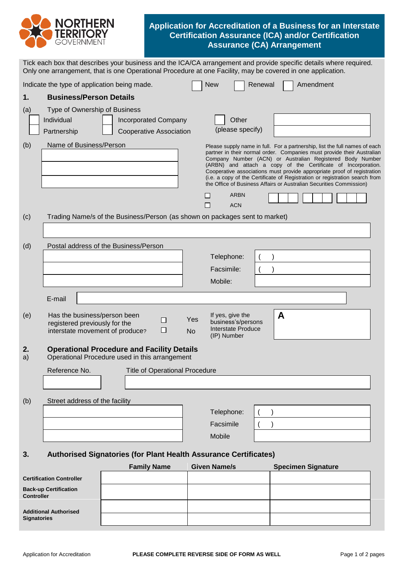

## **Application for Accreditation of a Business for an Interstate Certification Assurance (ICA) and/or Certification Assurance (CA) Arrangement**

|          | Only one arrangement, that is one Operational Procedure at one Facility, may be covered in one application.                         | Tick each box that describes your business and the ICA/CA arrangement and provide specific details where required.                                                                                                                                                                                                                                                                                                                                                                                                                               |  |  |  |
|----------|-------------------------------------------------------------------------------------------------------------------------------------|--------------------------------------------------------------------------------------------------------------------------------------------------------------------------------------------------------------------------------------------------------------------------------------------------------------------------------------------------------------------------------------------------------------------------------------------------------------------------------------------------------------------------------------------------|--|--|--|
|          | Indicate the type of application being made.                                                                                        | <b>New</b><br>Renewal<br>Amendment                                                                                                                                                                                                                                                                                                                                                                                                                                                                                                               |  |  |  |
| 1.       | <b>Business/Person Details</b>                                                                                                      |                                                                                                                                                                                                                                                                                                                                                                                                                                                                                                                                                  |  |  |  |
| (a)      | Type of Ownership of Business<br>Individual<br><b>Incorporated Company</b><br>Cooperative Association<br>Partnership                | Other<br>(please specify)                                                                                                                                                                                                                                                                                                                                                                                                                                                                                                                        |  |  |  |
| (b)      | Name of Business/Person                                                                                                             | Please supply name in full. For a partnership, list the full names of each<br>partner in their normal order. Companies must provide their Australian<br>Company Number (ACN) or Australian Registered Body Number<br>(ARBN) and attach a copy of the Certificate of Incorporation.<br>Cooperative associations must provide appropriate proof of registration<br>(i.e. a copy of the Certificate of Registration or registration search from<br>the Office of Business Affairs or Australian Securities Commission)<br><b>ARBN</b><br><b>ACN</b> |  |  |  |
| (c)      | Trading Name/s of the Business/Person (as shown on packages sent to market)                                                         |                                                                                                                                                                                                                                                                                                                                                                                                                                                                                                                                                  |  |  |  |
| (d)      | Postal address of the Business/Person                                                                                               | Telephone:<br>Facsimile:<br>Mobile:                                                                                                                                                                                                                                                                                                                                                                                                                                                                                                              |  |  |  |
|          | E-mail                                                                                                                              |                                                                                                                                                                                                                                                                                                                                                                                                                                                                                                                                                  |  |  |  |
| (e)      | Has the business/person been<br>Yes<br>□<br>registered previously for the<br>$\Box$<br>interstate movement of produce?<br><b>No</b> | A<br>If yes, give the<br>business's/persons<br>Interstate Produce<br>(IP) Number                                                                                                                                                                                                                                                                                                                                                                                                                                                                 |  |  |  |
| 2.<br>a) | <b>Operational Procedure and Facility Details</b><br>Operational Procedure used in this arrangement                                 |                                                                                                                                                                                                                                                                                                                                                                                                                                                                                                                                                  |  |  |  |
|          | Reference No.<br><b>Title of Operational Procedure</b>                                                                              |                                                                                                                                                                                                                                                                                                                                                                                                                                                                                                                                                  |  |  |  |
| (b)      | Street address of the facility                                                                                                      |                                                                                                                                                                                                                                                                                                                                                                                                                                                                                                                                                  |  |  |  |
|          |                                                                                                                                     | Telephone:                                                                                                                                                                                                                                                                                                                                                                                                                                                                                                                                       |  |  |  |
|          |                                                                                                                                     | Facsimile                                                                                                                                                                                                                                                                                                                                                                                                                                                                                                                                        |  |  |  |
|          |                                                                                                                                     | Mobile                                                                                                                                                                                                                                                                                                                                                                                                                                                                                                                                           |  |  |  |
| 3.       | Authorised Signatories (for Plant Health Assurance Certificates)                                                                    |                                                                                                                                                                                                                                                                                                                                                                                                                                                                                                                                                  |  |  |  |

|                                                   | <b>Family Name</b> | <b>Given Name/s</b> | <b>Specimen Signature</b> |
|---------------------------------------------------|--------------------|---------------------|---------------------------|
| <b>Certification Controller</b>                   |                    |                     |                           |
| <b>Back-up Certification</b><br><b>Controller</b> |                    |                     |                           |
| <b>Additional Authorised</b>                      |                    |                     |                           |
| <b>Signatories</b>                                |                    |                     |                           |